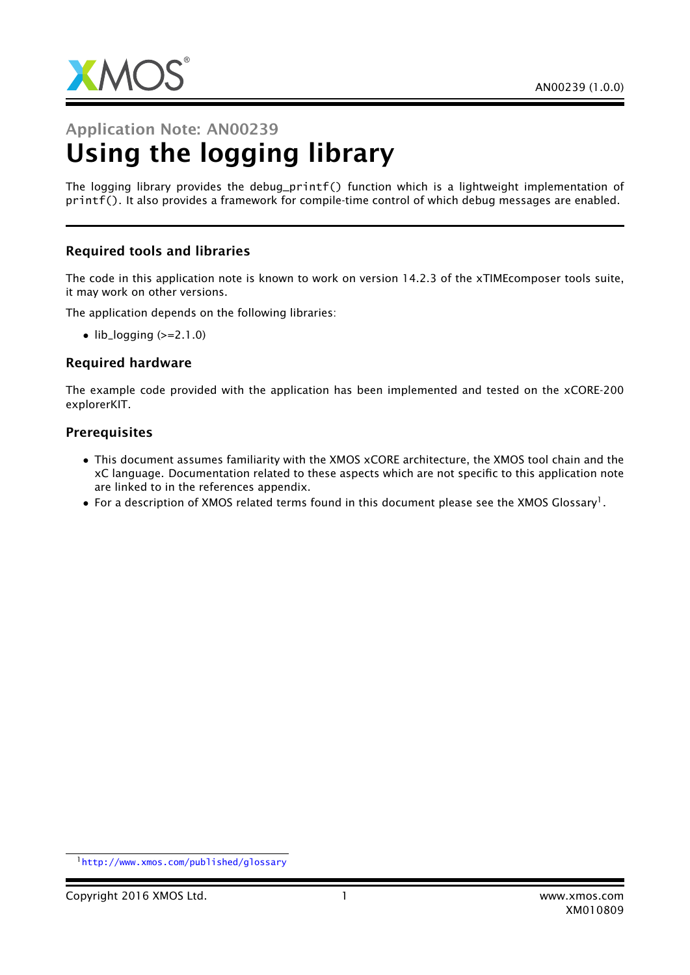

# Application Note: AN00239 Using the logging library

The logging library provides the debug\_printf() function which is a lightweight implementation of printf(). It also provides a framework for compile-time control of which debug messages are enabled.

## Required tools and libraries

The code in this application note is known to work on version 14.2.3 of the xTIMEcomposer tools suite, it may work on other versions.

The application depends on the following libraries:

 $\bullet$  lib\_logging ( $>=$ 2.1.0)

#### Required hardware

The example code provided with the application has been implemented and tested on the xCORE-200 explorerKIT.

#### **Prerequisites**

- This document assumes familiarity with the XMOS xCORE architecture, the XMOS tool chain and the xC language. Documentation related to these aspects which are not specific to this application note are linked to in the references appendix.
- $\bullet$  For a description of XMOS related terms found in this document please see the XMOS Glossary<sup>1</sup>.

<sup>1</sup><http://www.xmos.com/published/glossary>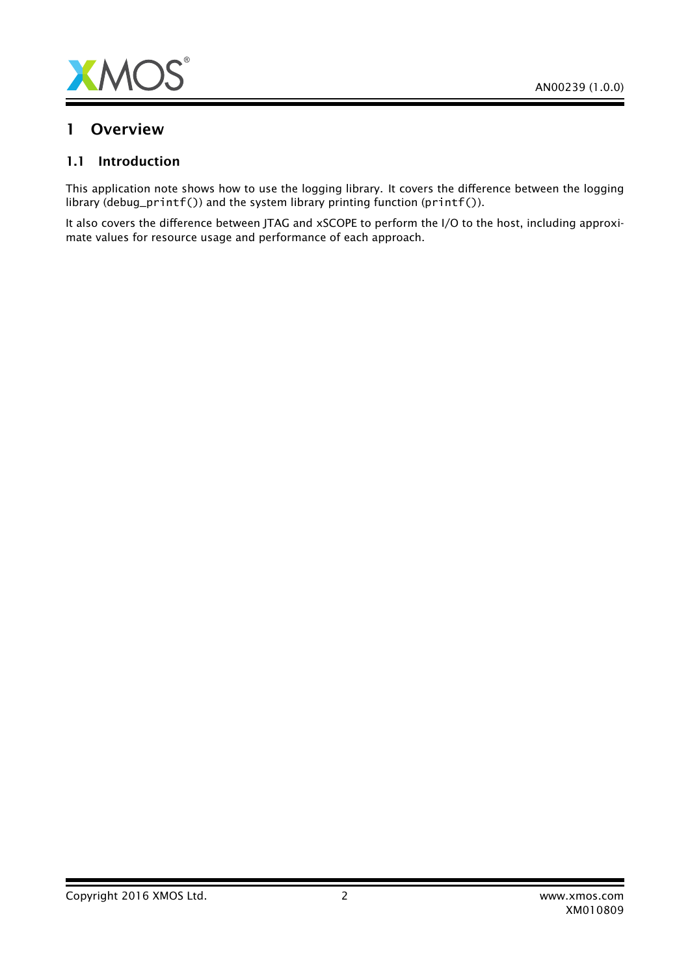

## 1 Overview

## 1.1 Introduction

This application note shows how to use the logging library. It covers the difference between the logging library (debug\_printf()) and the system library printing function (printf()).

It also covers the difference between JTAG and xSCOPE to perform the I/O to the host, including approximate values for resource usage and performance of each approach.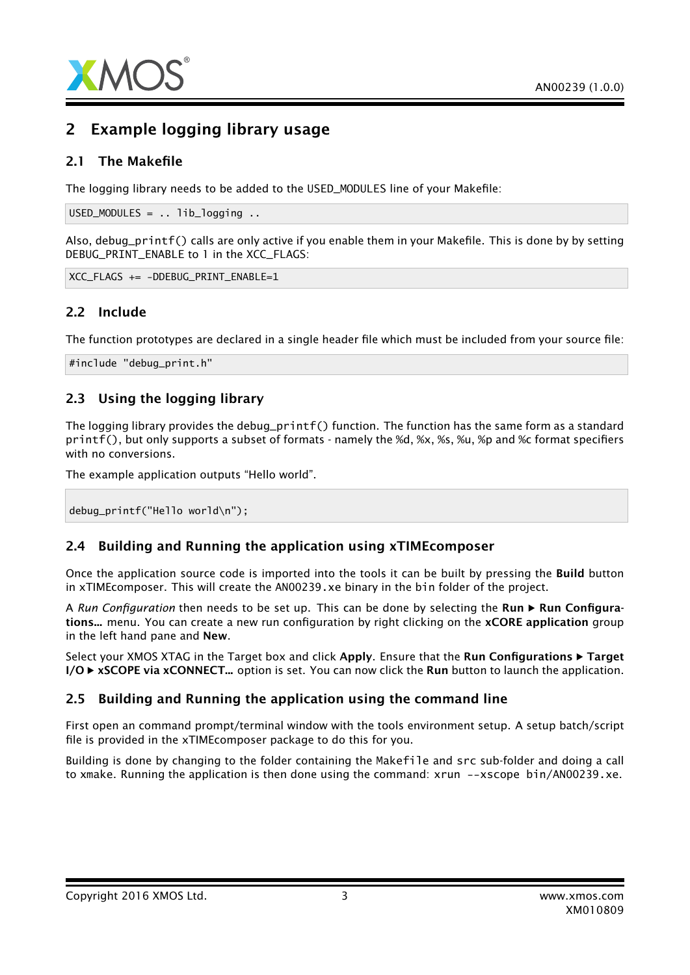

## 2 Example logging library usage

## 2.1 The Makefile

The logging library needs to be added to the USED\_MODULES line of your Makefile:

 $USED_MODULES = . . 1ib\_logging . .$ 

Also, debug\_printf() calls are only active if you enable them in your Makefile. This is done by by setting DEBUG\_PRINT\_ENABLE to 1 in the XCC\_FLAGS:

XCC\_FLAGS += -DDEBUG\_PRINT\_ENABLE=1

## 2.2 Include

The function prototypes are declared in a single header file which must be included from your source file:

#include "debug\_print.h"

## 2.3 Using the logging library

The logging library provides the debug\_printf() function. The function has the same form as a standard printf(), but only supports a subset of formats - namely the %d, %x, %s, %u, %p and %c format specifiers with no conversions.

The example application outputs "Hello world".

debug\_printf("Hello world\n");

## 2.4 Building and Running the application using xTIMEcomposer

Once the application source code is imported into the tools it can be built by pressing the Build button in xTIMEcomposer. This will create the AN00239.xe binary in the bin folder of the project.

A *Run Configuration* then needs to be set up. This can be done by selecting the **Run**  $\triangleright$  **Run Configura**tions... menu. You can create a new run configuration by right clicking on the xCORE application group in the left hand pane and New.

Select your XMOS XTAG in the Target box and click Apply. Ensure that the Run Configurations  $\blacktriangleright$  Target  $I/O \triangleright xSCOPE$  via  $xCONNECT...$  option is set. You can now click the Run button to launch the application.

## 2.5 Building and Running the application using the command line

First open an command prompt/terminal window with the tools environment setup. A setup batch/script file is provided in the xTIMEcomposer package to do this for you.

Building is done by changing to the folder containing the Makefile and src sub-folder and doing a call to xmake. Running the application is then done using the command: xrun --xscope bin/AN00239.xe.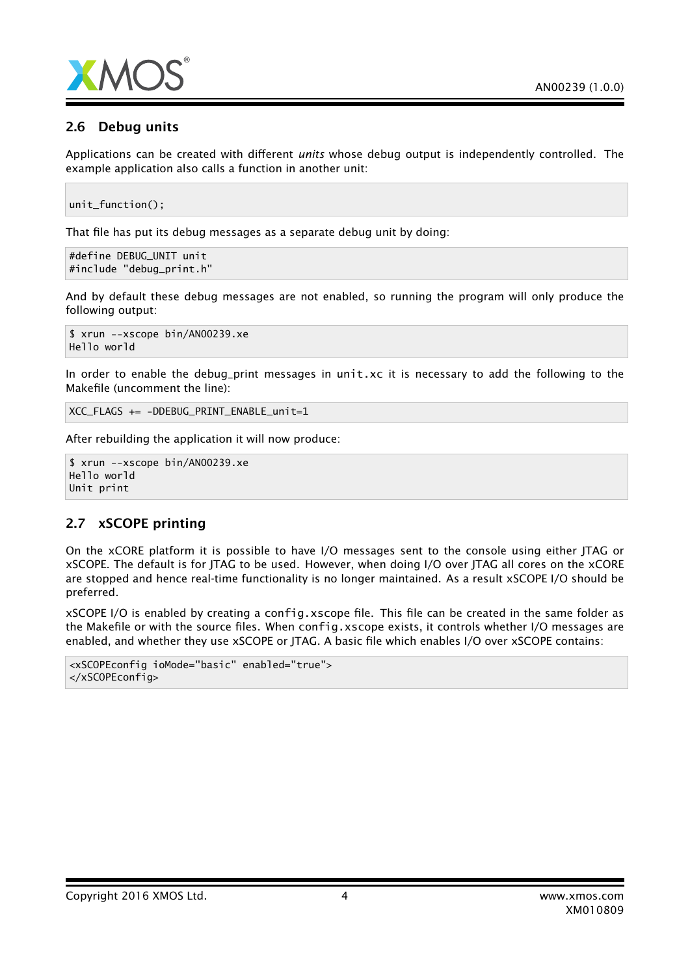

## 2.6 Debug units

Applications can be created with different *units* whose debug output is independently controlled. The example application also calls a function in another unit:

unit\_function();

That file has put its debug messages as a separate debug unit by doing:

```
#define DEBUG_UNIT unit
#include "debug_print.h"
```
And by default these debug messages are not enabled, so running the program will only produce the following output:

```
$ xrun --xscope bin/AN00239.xe
Hello world
```
In order to enable the debug\_print messages in unit.xc it is necessary to add the following to the Makefile (uncomment the line):

XCC\_FLAGS += -DDEBUG\_PRINT\_ENABLE\_unit=1

After rebuilding the application it will now produce:

```
$ xrun --xscope bin/AN00239.xe
Hello world
Unit print
```
#### 2.7 xSCOPE printing

On the xCORE platform it is possible to have I/O messages sent to the console using either JTAG or xSCOPE. The default is for JTAG to be used. However, when doing I/O over JTAG all cores on the xCORE are stopped and hence real-time functionality is no longer maintained. As a result xSCOPE I/O should be preferred.

xSCOPE I/O is enabled by creating a config.xscope file. This file can be created in the same folder as the Makefile or with the source files. When config.xscope exists, it controls whether I/O messages are enabled, and whether they use xSCOPE or JTAG. A basic file which enables I/O over xSCOPE contains:

```
<xSCOPEconfig ioMode="basic" enabled="true">
</xSCOPEconfig>
```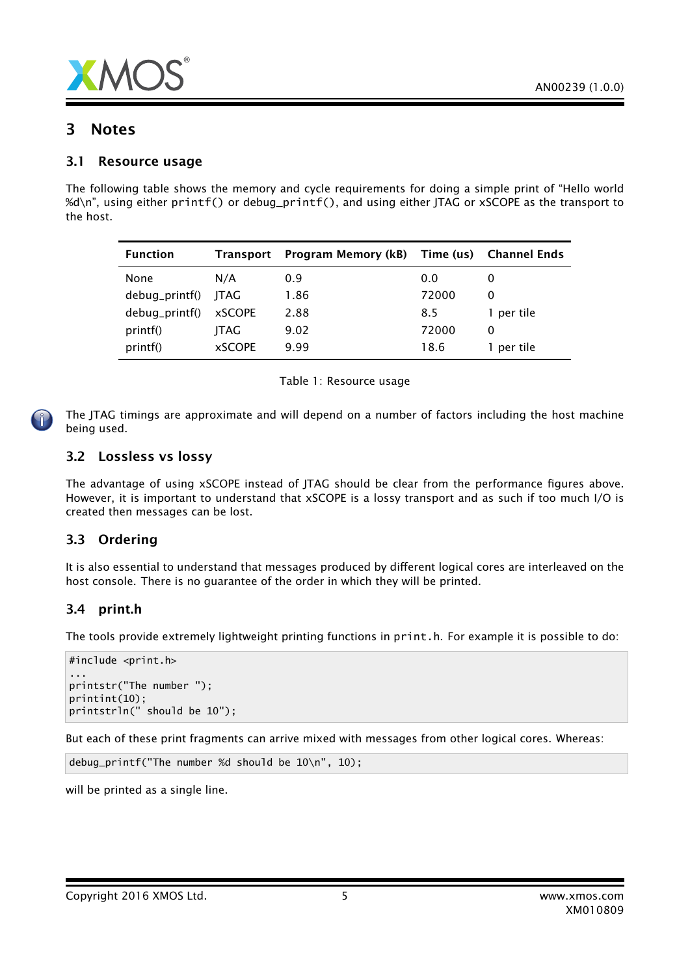

## 3 Notes

### 3.1 Resource usage

The following table shows the memory and cycle requirements for doing a simple print of "Hello world %d\n", using either printf() or debug\_printf(), and using either JTAG or xSCOPE as the transport to the host.

| <b>Function</b>     | Transport     | Program Memory (kB) Time (us) Channel Ends |       |            |
|---------------------|---------------|--------------------------------------------|-------|------------|
| None                | N/A           | 0.9                                        | 0.0   |            |
| debug_printf() JTAG |               | 1.86                                       | 72000 |            |
| debug_printf()      | <b>xSCOPE</b> | 2.88                                       | 8.5   | 1 per tile |
| printf()            | ITAG          | 9.02                                       | 72000 | $\Omega$   |
| printf()            | <b>xSCOPE</b> | 9.99                                       | 18.6  | 1 per tile |



The JTAG timings are approximate and will depend on a number of factors including the host machine being used.

### 3.2 Lossless vs lossy

The advantage of using xSCOPE instead of JTAG should be clear from the performance figures above. However, it is important to understand that xSCOPE is a lossy transport and as such if too much I/O is created then messages can be lost.

## 3.3 Ordering

It is also essential to understand that messages produced by different logical cores are interleaved on the host console. There is no guarantee of the order in which they will be printed.

## 3.4 print.h

The tools provide extremely lightweight printing functions in print.h. For example it is possible to do:

```
#include <print.h>
...
printstr("The number ");
printint(10);
printstrln(" should be 10");
```
But each of these print fragments can arrive mixed with messages from other logical cores. Whereas:

```
debug_printf("The number %d should be 10\n", 10);
```
will be printed as a single line.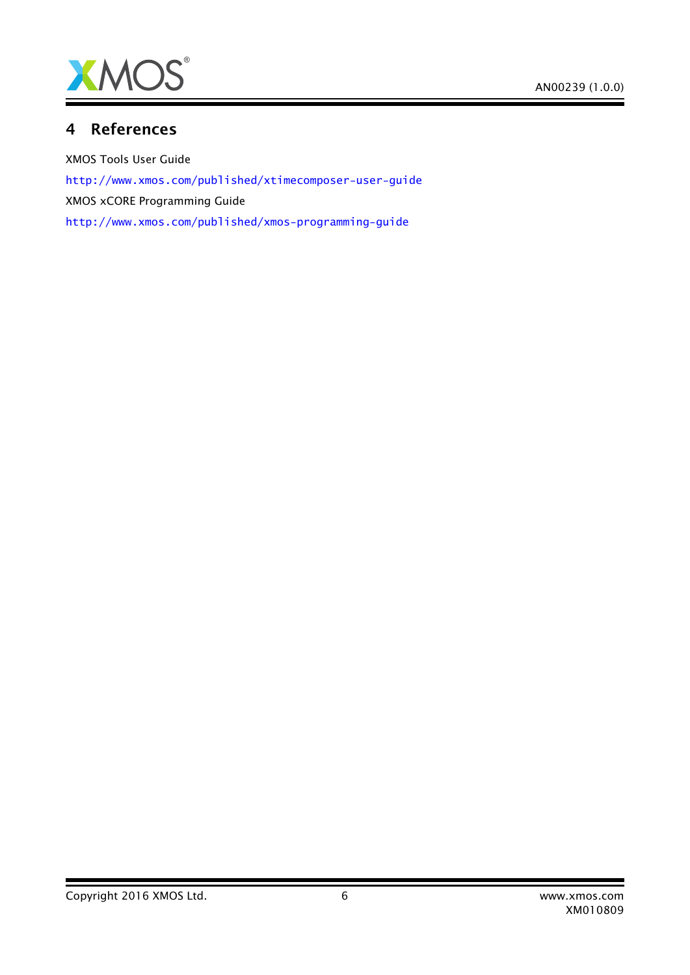

## 4 References

XMOS Tools User Guide <http://www.xmos.com/published/xtimecomposer-user-guide> XMOS xCORE Programming Guide <http://www.xmos.com/published/xmos-programming-guide>